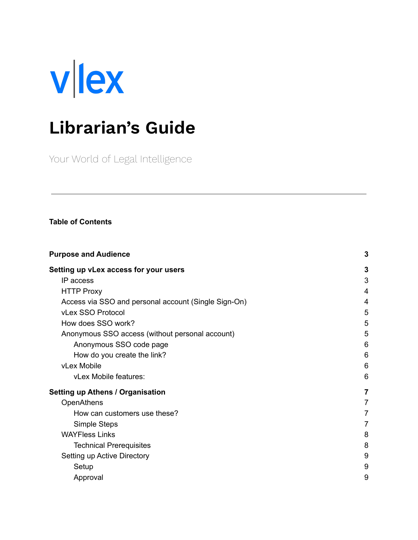

# **Librarian's Guide**

Your World of Legal Intelligence

#### **Table of Contents**

| <b>Purpose and Audience</b>                          |                |  |  |  |
|------------------------------------------------------|----------------|--|--|--|
| Setting up vLex access for your users                | 3              |  |  |  |
| IP access                                            | 3              |  |  |  |
| <b>HTTP Proxy</b>                                    | 4              |  |  |  |
| Access via SSO and personal account (Single Sign-On) | 4              |  |  |  |
| vLex SSO Protocol                                    | 5              |  |  |  |
| How does SSO work?                                   | 5              |  |  |  |
| Anonymous SSO access (without personal account)      |                |  |  |  |
| Anonymous SSO code page                              | 6              |  |  |  |
| How do you create the link?                          | 6              |  |  |  |
| vLex Mobile                                          | 6              |  |  |  |
| vLex Mobile features:                                | 6              |  |  |  |
| <b>Setting up Athens / Organisation</b>              | 7              |  |  |  |
| <b>OpenAthens</b>                                    | $\overline{7}$ |  |  |  |
| How can customers use these?                         | 7              |  |  |  |
| Simple Steps                                         | $\overline{7}$ |  |  |  |
| <b>WAYFless Links</b>                                | 8              |  |  |  |
| <b>Technical Prerequisites</b>                       | 8              |  |  |  |
| Setting up Active Directory                          | 9              |  |  |  |
| Setup                                                | 9              |  |  |  |
| Approval                                             | 9              |  |  |  |
|                                                      |                |  |  |  |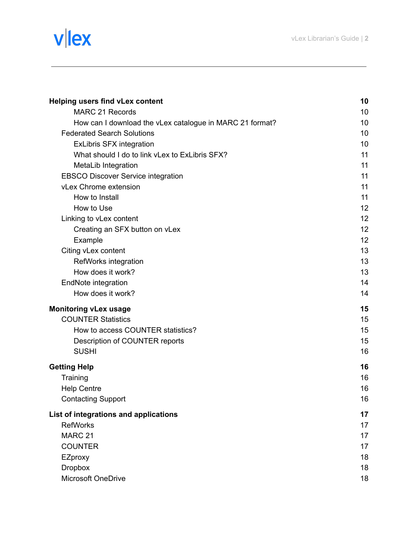# vlex

| <b>Helping users find vLex content</b>                   | 10 |
|----------------------------------------------------------|----|
| <b>MARC 21 Records</b>                                   | 10 |
| How can I download the vLex catalogue in MARC 21 format? | 10 |
| <b>Federated Search Solutions</b>                        | 10 |
| <b>ExLibris SFX integration</b>                          | 10 |
| What should I do to link vLex to ExLibris SFX?           | 11 |
| MetaLib Integration                                      | 11 |
| <b>EBSCO Discover Service integration</b>                | 11 |
| vLex Chrome extension                                    | 11 |
| How to Install                                           | 11 |
| How to Use                                               | 12 |
| Linking to vLex content                                  | 12 |
| Creating an SFX button on vLex                           | 12 |
| Example                                                  | 12 |
| Citing vLex content                                      | 13 |
| RefWorks integration                                     | 13 |
| How does it work?                                        | 13 |
| EndNote integration                                      | 14 |
| How does it work?                                        | 14 |
| <b>Monitoring vLex usage</b>                             | 15 |
| <b>COUNTER Statistics</b>                                | 15 |
| How to access COUNTER statistics?                        | 15 |
| Description of COUNTER reports                           | 15 |
| <b>SUSHI</b>                                             | 16 |
| <b>Getting Help</b>                                      | 16 |
| Training                                                 | 16 |
| <b>Help Centre</b>                                       | 16 |
| <b>Contacting Support</b>                                | 16 |
| List of integrations and applications                    | 17 |
| <b>RefWorks</b>                                          | 17 |
| MARC 21                                                  | 17 |
| <b>COUNTER</b>                                           | 17 |
| EZproxy                                                  | 18 |
| <b>Dropbox</b>                                           | 18 |
| Microsoft OneDrive                                       | 18 |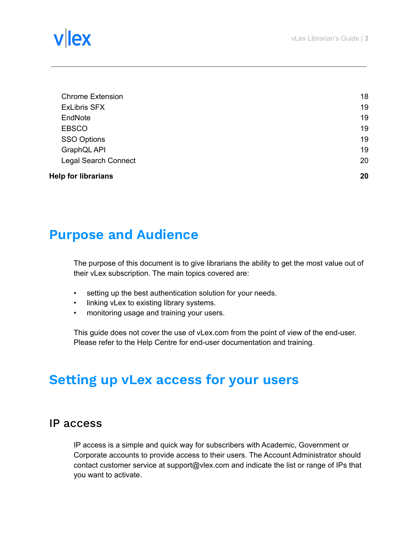# llex

| <b>Chrome Extension</b>     | 18 |
|-----------------------------|----|
| <b>ExLibris SFX</b>         | 19 |
| EndNote                     | 19 |
| <b>EBSCO</b>                | 19 |
| <b>SSO Options</b>          | 19 |
| GraphQL API                 | 19 |
| <b>Legal Search Connect</b> | 20 |
| <b>Help for librarians</b>  | 20 |

# <span id="page-2-0"></span>**Purpose and Audience**

The purpose of this document is to give librarians the ability to get the most value out of their vLex subscription. The main topics covered are:

- setting up the best authentication solution for your needs.
- linking vLex to existing library systems.
- monitoring usage and training your users.

This guide does not cover the use of vLex.com from the point of view of the end-user. Please refer to the Help Centre for end-user documentation and training.

# <span id="page-2-1"></span>**Setting up vLex access for your users**

### <span id="page-2-2"></span>IP access

IP access is a simple and quick way for subscribers with Academic, Government or Corporate accounts to provide access to their users. The Account Administrator should contact customer service at support@vlex.com and indicate the list or range of IPs that you want to activate.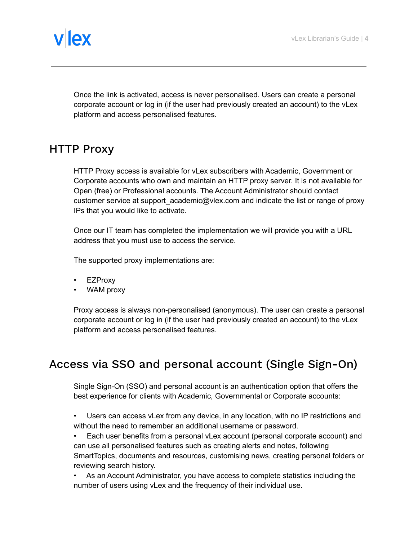

Once the link is activated, access is never personalised. Users can create a personal corporate account or log in (if the user had previously created an account) to the vLex platform and access personalised features.

# <span id="page-3-0"></span>HTTP Proxy

HTTP Proxy access is available for vLex subscribers with Academic, Government or Corporate accounts who own and maintain an HTTP proxy server. It is not available for Open (free) or Professional accounts. The Account Administrator should contact customer service at support academic@vlex.com and indicate the list or range of proxy IPs that you would like to activate.

Once our IT team has completed the implementation we will provide you with a URL address that you must use to access the service.

The supported proxy implementations are:

- EZProxy
- WAM proxy

Proxy access is always non-personalised (anonymous). The user can create a personal corporate account or log in (if the user had previously created an account) to the vLex platform and access personalised features.

# <span id="page-3-1"></span>Access via SSO and personal account (Single Sign-On)

Single Sign-On (SSO) and personal account is an authentication option that offers the best experience for clients with Academic, Governmental or Corporate accounts:

• Users can access vLex from any device, in any location, with no IP restrictions and without the need to remember an additional username or password.

• Each user benefits from a personal vLex account (personal corporate account) and can use all personalised features such as creating alerts and notes, following SmartTopics, documents and resources, customising news, creating personal folders or reviewing search history.

• As an Account Administrator, you have access to complete statistics including the number of users using vLex and the frequency of their individual use.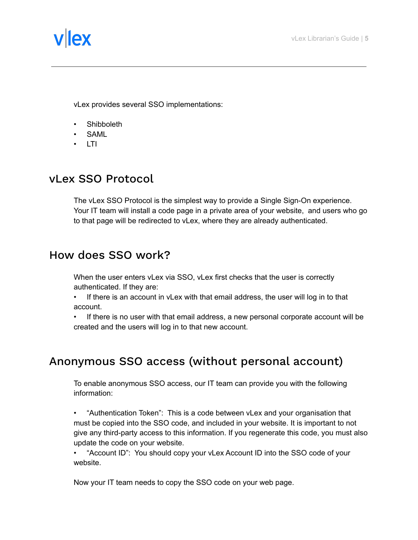

vLex provides several SSO implementations:

- Shibboleth
- SAML
- LTI

# <span id="page-4-0"></span>vLex SSO Protocol

The vLex SSO Protocol is the simplest way to provide a Single Sign-On experience. Your IT team will install a code page in a private area of your website, and users who go to that page will be redirected to vLex, where they are already authenticated.

# <span id="page-4-1"></span>How does SSO work?

When the user enters vLex via SSO, vLex first checks that the user is correctly authenticated. If they are:

- If there is an account in vLex with that email address, the user will log in to that account.
- If there is no user with that email address, a new personal corporate account will be created and the users will log in to that new account.

# <span id="page-4-2"></span>Anonymous SSO access (without personal account)

To enable anonymous SSO access, our IT team can provide you with the following information:

• "Authentication Token": This is a code between vLex and your organisation that must be copied into the SSO code, and included in your website. It is important to not give any third-party access to this information. If you regenerate this code, you must also update the code on your website.

• "Account ID": You should copy your vLex Account ID into the SSO code of your website.

Now your IT team needs to copy the SSO code on your web page.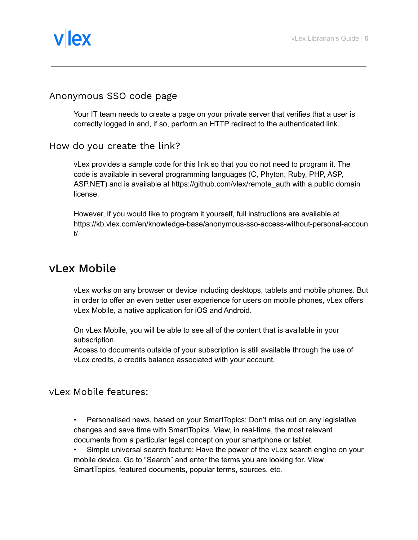

### <span id="page-5-0"></span>Anonymous SSO code page

Your IT team needs to create a page on your private server that verifies that a user is correctly logged in and, if so, perform an HTTP redirect to the authenticated link.

### <span id="page-5-1"></span>How do you create the link?

vLex provides a sample code for this link so that you do not need to program it. The code is available in several programming languages (C, Phyton, Ruby, PHP, ASP, ASP.NET) and is available at https://github.com/vlex/remote\_auth with a public domain license.

However, if you would like to program it yourself, full instructions are available at https://kb.vlex.com/en/knowledge-base/anonymous-sso-access-without-personal-accoun t/

# <span id="page-5-2"></span>vLex Mobile

vLex works on any browser or device including desktops, tablets and mobile phones. But in order to offer an even better user experience for users on mobile phones, vLex offers vLex Mobile, a native application for iOS and Android.

On vLex Mobile, you will be able to see all of the content that is available in your subscription.

Access to documents outside of your subscription is still available through the use of vLex credits, a credits balance associated with your account.

### <span id="page-5-3"></span>vLex Mobile features:

• Personalised news, based on your SmartTopics: Don't miss out on any legislative changes and save time with SmartTopics. View, in real-time, the most relevant documents from a particular legal concept on your smartphone or tablet.

• Simple universal search feature: Have the power of the vLex search engine on your mobile device. Go to "Search" and enter the terms you are looking for. View SmartTopics, featured documents, popular terms, sources, etc.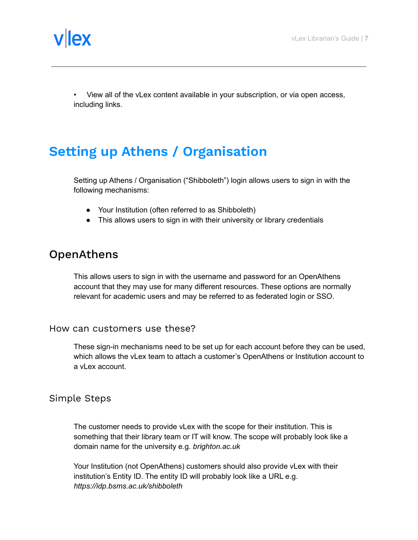

• View all of the vLex content available in your subscription, or via open access, including links.

# <span id="page-6-0"></span>**Setting up Athens / Organisation**

Setting up Athens / Organisation ("Shibboleth") login allows users to sign in with the following mechanisms:

- Your Institution (often referred to as Shibboleth)
- This allows users to sign in with their university or library credentials

### <span id="page-6-1"></span>OpenAthens

This allows users to sign in with the username and password for an OpenAthens account that they may use for many different resources. These options are normally relevant for academic users and may be referred to as federated login or SSO.

#### <span id="page-6-2"></span>How can customers use these?

These sign-in mechanisms need to be set up for each account before they can be used, which allows the vLex team to attach a customer's OpenAthens or Institution account to a vLex account.

### <span id="page-6-3"></span>Simple Steps

The customer needs to provide vLex with the scope for their institution. This is something that their library team or IT will know. The scope will probably look like a domain name for the university e.g. *brighton.ac.uk*

Your Institution (not OpenAthens) customers should also provide vLex with their institution's Entity ID. The entity ID will probably look like a URL e.g. *https://idp.bsms.ac.uk/shibboleth*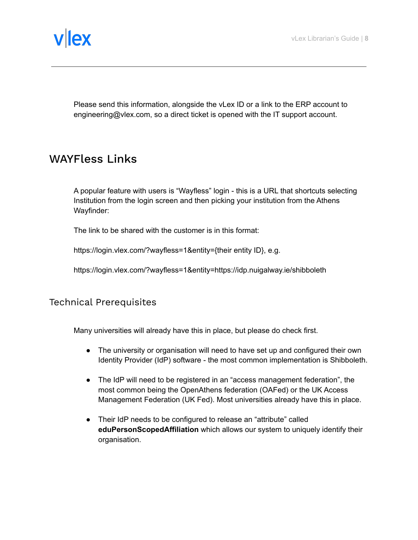

Please send this information, alongside the vLex ID or a link to the ERP account to engineering@vlex.com, so a direct ticket is opened with the IT support account.

## <span id="page-7-0"></span>WAYFless Links

A popular feature with users is "Wayfless" login - this is a URL that shortcuts selecting Institution from the login screen and then picking your institution from the Athens Wayfinder:

The link to be shared with the customer is in this format:

https://login.vlex.com/?wayfless=1&entity={their entity ID}, e.g.

https://login.vlex.com/?wayfless=1&entity=https://idp.nuigalway.ie/shibboleth

<span id="page-7-1"></span>Technical Prerequisites

Many universities will already have this in place, but please do check first.

- The university or organisation will need to have set up and configured their own Identity Provider (IdP) software - the most common implementation is Shibboleth.
- The IdP will need to be registered in an "access management federation", the most common being the OpenAthens federation (OAFed) or the UK Access Management Federation (UK Fed). Most universities already have this in place.
- Their IdP needs to be configured to release an "attribute" called **eduPersonScopedAffiliation** which allows our system to uniquely identify their organisation.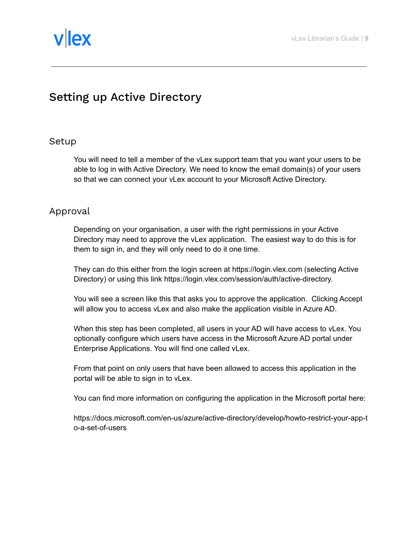

# <span id="page-8-0"></span>Setting up Active Directory

### <span id="page-8-1"></span>Setup

You will need to tell a member of the vLex support team that you want your users to be able to log in with Active Directory. We need to know the email domain(s) of your users so that we can connect your vLex account to your Microsoft Active Directory.

### <span id="page-8-2"></span>Approval

Depending on your organisation, a user with the right permissions in your Active Directory may need to approve the vLex application. The easiest way to do this is for them to sign in, and they will only need to do it one time.

They can do this either from the login screen at https://login.vlex.com (selecting Active Directory) or using this link https://login.vlex.com/session/auth/active-directory.

You will see a screen like this that asks you to approve the application. Clicking Accept will allow you to access vLex and also make the application visible in Azure AD.

When this step has been completed, all users in your AD will have access to vLex. You optionally configure which users have access in the Microsoft Azure AD portal under Enterprise Applications. You will find one called vLex.

From that point on only users that have been allowed to access this application in the portal will be able to sign in to vLex.

You can find more information on configuring the application in the Microsoft portal here:

https://docs.microsoft.com/en-us/azure/active-directory/develop/howto-restrict-your-app-t o-a-set-of-users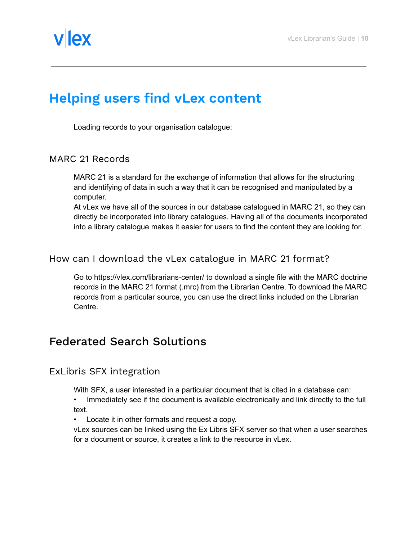

# <span id="page-9-0"></span>**Helping users find vLex content**

Loading records to your organisation catalogue:

#### <span id="page-9-1"></span>MARC 21 Records

MARC 21 is a standard for the exchange of information that allows for the structuring and identifying of data in such a way that it can be recognised and manipulated by a computer.

At vLex we have all of the sources in our database catalogued in MARC 21, so they can directly be incorporated into library catalogues. Having all of the documents incorporated into a library catalogue makes it easier for users to find the content they are looking for.

### <span id="page-9-2"></span>How can I download the vLex catalogue in MARC 21 format?

Go to https://vlex.com/librarians-center/ to download a single file with the MARC doctrine records in the MARC 21 format (.mrc) from the Librarian Centre. To download the MARC records from a particular source, you can use the direct links included on the Librarian Centre.

### <span id="page-9-3"></span>Federated Search Solutions

<span id="page-9-4"></span>ExLibris SFX integration

With SFX, a user interested in a particular document that is cited in a database can:

- Immediately see if the document is available electronically and link directly to the full text.
- Locate it in other formats and request a copy.

vLex sources can be linked using the Ex Libris SFX server so that when a user searches for a document or source, it creates a link to the resource in vLex.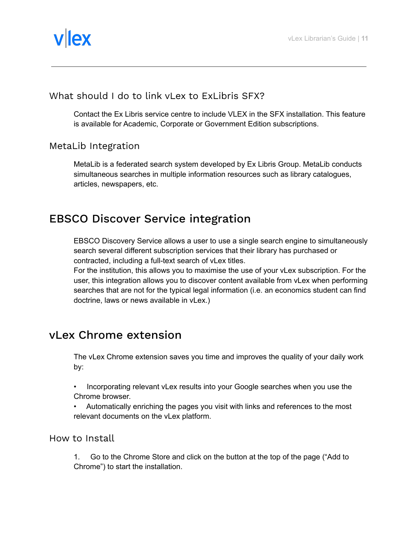

### <span id="page-10-0"></span>What should I do to link vLex to ExLibris SFX?

Contact the Ex Libris service centre to include VLEX in the SFX installation. This feature is available for Academic, Corporate or Government Edition subscriptions.

### <span id="page-10-1"></span>MetaLib Integration

MetaLib is a federated search system developed by Ex Libris Group. MetaLib conducts simultaneous searches in multiple information resources such as library catalogues, articles, newspapers, etc.

# <span id="page-10-2"></span>EBSCO Discover Service integration

EBSCO Discovery Service allows a user to use a single search engine to simultaneously search several different subscription services that their library has purchased or contracted, including a full-text search of vLex titles.

For the institution, this allows you to maximise the use of your vLex subscription. For the user, this integration allows you to discover content available from vLex when performing searches that are not for the typical legal information (i.e. an economics student can find doctrine, laws or news available in vLex.)

## <span id="page-10-3"></span>vLex Chrome extension

The vLex Chrome extension saves you time and improves the quality of your daily work by:

- Incorporating relevant vLex results into your Google searches when you use the Chrome browser.
- Automatically enriching the pages you visit with links and references to the most relevant documents on the vLex platform.

<span id="page-10-4"></span>How to Install

1. Go to the Chrome Store and click on the button at the top of the page ("Add to Chrome") to start the installation.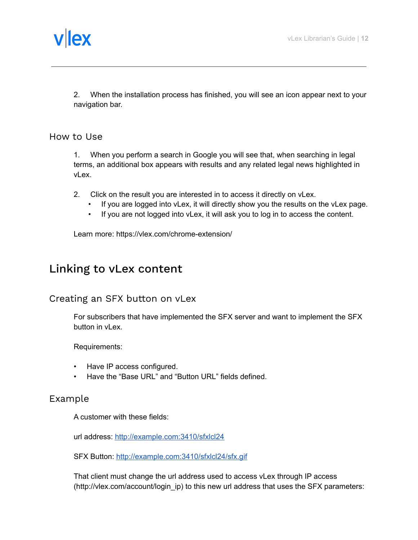

2. When the installation process has finished, you will see an icon appear next to your navigation bar.

#### <span id="page-11-0"></span>How to Use

1. When you perform a search in Google you will see that, when searching in legal terms, an additional box appears with results and any related legal news highlighted in vLex.

- 2. Click on the result you are interested in to access it directly on vLex.
	- If you are logged into vLex, it will directly show you the results on the vLex page.
	- If you are not logged into vLex, it will ask you to log in to access the content.

Learn more: https://vlex.com/chrome-extension/

### <span id="page-11-1"></span>Linking to vLex content

#### <span id="page-11-2"></span>Creating an SFX button on vLex

For subscribers that have implemented the SFX server and want to implement the SFX button in vLex.

Requirements:

- Have IP access configured.
- Have the "Base URL" and "Button URL" fields defined.

### <span id="page-11-3"></span>Example

A customer with these fields:

url address: <http://example.com:3410/sfxlcl24>

SFX Button: <http://example.com:3410/sfxlcl24/sfx.gif>

That client must change the url address used to access vLex through IP access (http://vlex.com/account/login\_ip) to this new url address that uses the SFX parameters: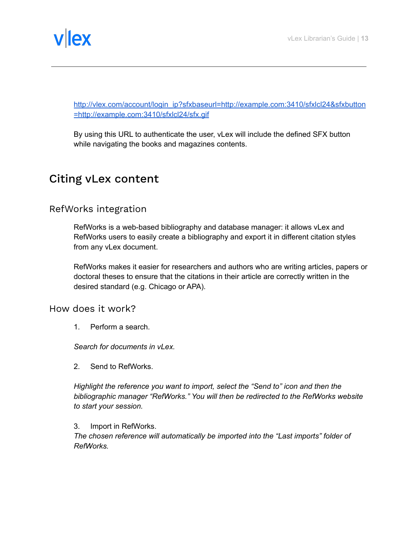

[http://vlex.com/account/login\\_ip?sfxbaseurl=http://example.com:3410/sfxlcl24&sfxbutton](http://vlex.com/account/login_ip?sfxbaseurl=http://example.com:3410/sfxlcl24&sfxbutton=http://example.com:3410/sfxlcl24/sfx.gif) [=http://example.com:3410/sfxlcl24/sfx.gif](http://vlex.com/account/login_ip?sfxbaseurl=http://example.com:3410/sfxlcl24&sfxbutton=http://example.com:3410/sfxlcl24/sfx.gif)

By using this URL to authenticate the user, vLex will include the defined SFX button while navigating the books and magazines contents.

# <span id="page-12-0"></span>Citing vLex content

### <span id="page-12-1"></span>RefWorks integration

RefWorks is a web-based bibliography and database manager: it allows vLex and RefWorks users to easily create a bibliography and export it in different citation styles from any vLex document.

RefWorks makes it easier for researchers and authors who are writing articles, papers or doctoral theses to ensure that the citations in their article are correctly written in the desired standard (e.g. Chicago or APA).

<span id="page-12-2"></span>How does it work?

1. Perform a search.

*Search for documents in vLex.*

2. Send to RefWorks.

*Highlight the reference you want to import, select the "Send to" icon and then the bibliographic manager "RefWorks." You will then be redirected to the RefWorks website to start your session.*

#### 3. Import in RefWorks.

*The chosen reference will automatically be imported into the "Last imports" folder of RefWorks.*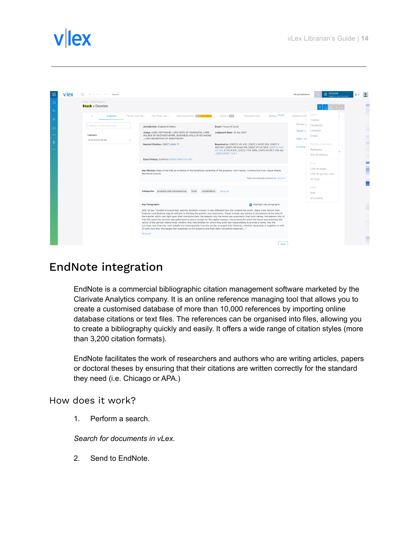

| ≡              | vllex | $\bigcirc$<br>$\sim$<br>Search                 |                 |                                                                                                                                                                                                                                                                                                                                                                                      |                                                                                                                                                                                                                                                                                                                                                                                                                                                                                                                                                                               | All jurisdictions     | Vincent<br>目<br>Insights on your document | $0 \frac{1}{2}$ |         |
|----------------|-------|------------------------------------------------|-----------------|--------------------------------------------------------------------------------------------------------------------------------------------------------------------------------------------------------------------------------------------------------------------------------------------------------------------------------------------------------------------------------------|-------------------------------------------------------------------------------------------------------------------------------------------------------------------------------------------------------------------------------------------------------------------------------------------------------------------------------------------------------------------------------------------------------------------------------------------------------------------------------------------------------------------------------------------------------------------------------|-----------------------|-------------------------------------------|-----------------|---------|
| $\Omega$<br>Q  |       | Home - United Kingdom<br><b>Stack</b> v Dowden |                 |                                                                                                                                                                                                                                                                                                                                                                                      |                                                                                                                                                                                                                                                                                                                                                                                                                                                                                                                                                                               |                       |                                           |                 |         |
| $\circledcirc$ |       | $\circ$<br>Judgment                            | Family Court Re | Cited Authorities Be 1 with changes<br>The Times Law                                                                                                                                                                                                                                                                                                                                 | Related Vincent<br>Cited in <b>BBP</b><br>Precedent Map                                                                                                                                                                                                                                                                                                                                                                                                                                                                                                                       | Citations & Sc        | Share<br>Twitter                          |                 |         |
| $\Box$         |       | Search in this document                        |                 | Jurisdiction: England & Wales<br>Judge: LORD HOFFMANN, LORD HOPE OF CRAIGHEAD, LORD                                                                                                                                                                                                                                                                                                  | Court: House of Lords<br>Judgment Date: 25 Apr 2007                                                                                                                                                                                                                                                                                                                                                                                                                                                                                                                           | Similar c<br>Taylor v | Facebook<br>LinkedIn                      |                 | −       |
| $^{\circ}$     |       | 1 highlights<br>would dismiss the app<br>n     |                 | WALKER OF GESTINGTHORPE, BARONESS HALE OF RICHMOND<br>. LORD NEUBERGER OF ABBOTSBURY<br>Neutral Citation: [2007] UKHL 17                                                                                                                                                                                                                                                             | Reported In: [2007] 2 AC 432, [2007] 2 All ER 929, [2007] 2                                                                                                                                                                                                                                                                                                                                                                                                                                                                                                                   | Hall v Ha             | Email<br>Reference Managers               |                 | −       |
|                |       |                                                |                 |                                                                                                                                                                                                                                                                                                                                                                                      | WLR 831, [2007] NR Uned 109, [2007] WTLR 1053, [2007] 2 Fam<br>CR 280, 9 ITELR 815, [2007] 1 FLR 1858, [2007] All ER D 208 Apr<br>. [26/04/2007] TLR 1                                                                                                                                                                                                                                                                                                                                                                                                                        | Curling \             | Refworks<br>RIS (EndNote)                 |                 |         |
|                |       |                                                |                 | Case History: Confirms [2005] EWCA Civ 857                                                                                                                                                                                                                                                                                                                                           |                                                                                                                                                                                                                                                                                                                                                                                                                                                                                                                                                                               |                       | Copy<br>Link to page                      |                 | m.<br>E |
|                |       |                                                |                 | Key Phrases State of the title as evidence of the beneficial ownership of the property, Joint names, Constructive trust. Equal shares,<br>Beneficial interest.                                                                                                                                                                                                                       | Topics automatically extracted by Iceberg Al                                                                                                                                                                                                                                                                                                                                                                                                                                                                                                                                  |                       | Link to go.vlex.com<br>ID vLex            |                 |         |
|                |       |                                                |                 | Categories property and conveyancing<br>trust                                                                                                                                                                                                                                                                                                                                        | cohabitation Show all                                                                                                                                                                                                                                                                                                                                                                                                                                                                                                                                                         |                       | Editar<br>Edit<br>at Lucene               |                 |         |
|                |       |                                                |                 | <b>Key Paragraphs</b>                                                                                                                                                                                                                                                                                                                                                                | Highlight key paragraphs                                                                                                                                                                                                                                                                                                                                                                                                                                                                                                                                                      |                       |                                           |                 |         |
|                |       |                                                |                 | [69] "In law, "context is everything" and the domestic context is very different from the commercial world., Many more factors than<br>nature of the parties' relationship; whether they had children for whom they both had responsibility to provide a home; how the<br>of both; how they discharged the outgoings on the property and their other household expenses"<br>Show all | financial contributions may be relevant to divining the parties' true intentions., These include: any advice or discussions at the time of<br>the transfer which cast light upon their intentions then; the reasons why the home was acquired in their joint names; the reasons why (if<br>it be the case) the survivor was authorised to give a receipt for the capital moneys; the purpose for which the home was acquired; the<br>purchase was financed, both initially and subsequently; how the parties arranged their finances, whether separately or together or a bit |                       |                                           |                 |         |
|                |       |                                                |                 |                                                                                                                                                                                                                                                                                                                                                                                      | PDF                                                                                                                                                                                                                                                                                                                                                                                                                                                                                                                                                                           |                       |                                           |                 |         |

## <span id="page-13-0"></span>EndNote integration

EndNote is a commercial bibliographic citation management software marketed by the Clarivate Analytics company. It is an online reference managing tool that allows you to create a customised database of more than 10,000 references by importing online database citations or text files. The references can be organised into files, allowing you to create a bibliography quickly and easily. It offers a wide range of citation styles (more than 3,200 citation formats).

EndNote facilitates the work of researchers and authors who are writing articles, papers or doctoral theses by ensuring that their citations are written correctly for the standard they need (i.e. Chicago or APA.)

<span id="page-13-1"></span>How does it work?

1. Perform a search.

*Search for documents in vLex.*

2. Send to EndNote.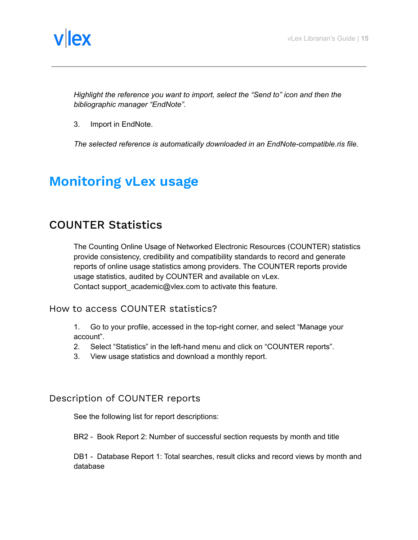

*Highlight the reference you want to import, select the "Send to" icon and then the bibliographic manager "EndNote".*

3. Import in EndNote.

*The selected reference is automatically downloaded in an EndNote-compatible.ris file.*

# <span id="page-14-0"></span>**Monitoring vLex usage**

### <span id="page-14-1"></span>COUNTER Statistics

The Counting Online Usage of Networked Electronic Resources (COUNTER) statistics provide consistency, credibility and compatibility standards to record and generate reports of online usage statistics among providers. The COUNTER reports provide usage statistics, audited by COUNTER and available on vLex. Contact support academic@vlex.com to activate this feature.

#### <span id="page-14-2"></span>How to access COUNTER statistics?

1. Go to your profile, accessed in the top-right corner, and select "Manage your account".

- 2. Select "Statistics" in the left-hand menu and click on "COUNTER reports".
- 3. View usage statistics and download a monthly report.

### <span id="page-14-3"></span>Description of COUNTER reports

See the following list for report descriptions:

BR2 - Book Report 2: Number of successful section requests by month and title

DB1 - Database Report 1: Total searches, result clicks and record views by month and database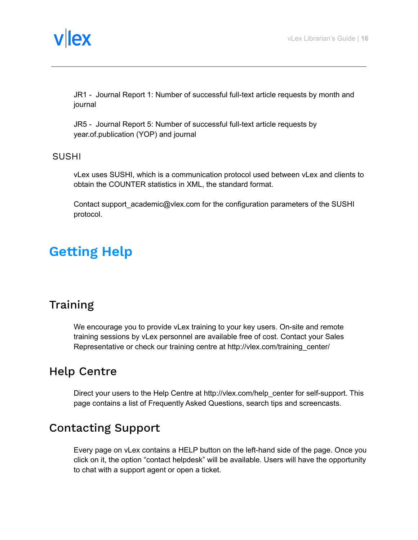

JR1 - Journal Report 1: Number of successful full-text article requests by month and journal

JR5 - Journal Report 5: Number of successful full-text article requests by year.of.publication (YOP) and journal

#### <span id="page-15-0"></span>SUSHI

vLex uses SUSHI, which is a communication protocol used between vLex and clients to obtain the COUNTER statistics in XML, the standard format.

Contact support\_academic@vlex.com for the configuration parameters of the SUSHI protocol.

# <span id="page-15-1"></span>**Getting Help**

## <span id="page-15-2"></span>**Training**

We encourage you to provide vLex training to your key users. On-site and remote training sessions by vLex personnel are available free of cost. Contact your Sales Representative or check our training centre at http://vlex.com/training\_center/

## <span id="page-15-3"></span>Help Centre

Direct your users to the Help Centre at http://vlex.com/help center for self-support. This page contains a list of Frequently Asked Questions, search tips and screencasts.

# <span id="page-15-4"></span>Contacting Support

Every page on vLex contains a HELP button on the left-hand side of the page. Once you click on it, the option "contact helpdesk" will be available. Users will have the opportunity to chat with a support agent or open a ticket.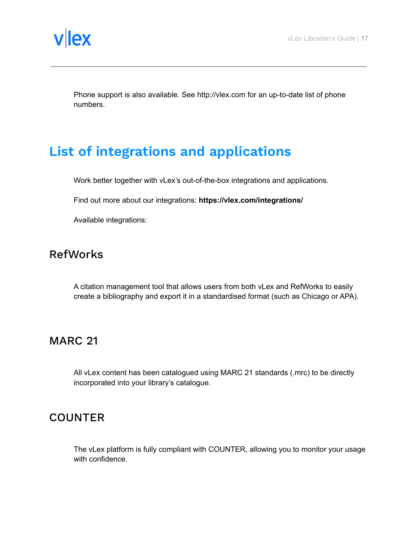

Phone support is also available. See http://vlex.com for an up-to-date list of phone numbers.

# <span id="page-16-0"></span>**List of integrations and applications**

Work better together with vLex's out-of-the-box integrations and applications.

Find out more about our integrations: **https://vlex.com/integrations/**

Available integrations:

### <span id="page-16-1"></span>RefWorks

A citation management tool that allows users from both vLex and RefWorks to easily create a bibliography and export it in a standardised format (such as Chicago or APA).

### <span id="page-16-2"></span>MARC 21

All vLex content has been catalogued using MARC 21 standards (.mrc) to be directly incorporated into your library's catalogue.

### <span id="page-16-3"></span>**COUNTER**

The vLex platform is fully compliant with COUNTER, allowing you to monitor your usage with confidence.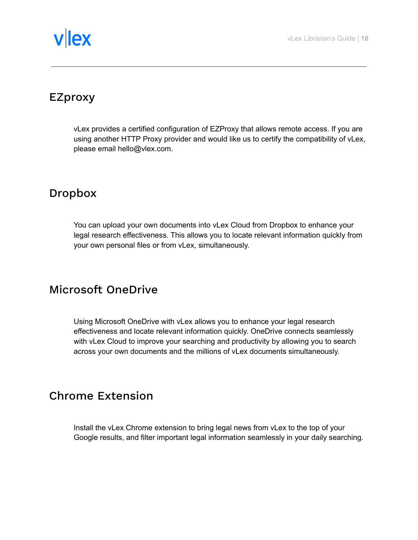# vllex

# <span id="page-17-0"></span>EZproxy

vLex provides a certified configuration of EZProxy that allows remote access. If you are using another HTTP Proxy provider and would like us to certify the compatibility of vLex, please email hello@vlex.com.

# <span id="page-17-1"></span>Dropbox

You can upload your own documents into vLex Cloud from Dropbox to enhance your legal research effectiveness. This allows you to locate relevant information quickly from your own personal files or from vLex, simultaneously.

# <span id="page-17-2"></span>Microsoft OneDrive

Using Microsoft OneDrive with vLex allows you to enhance your legal research effectiveness and locate relevant information quickly. OneDrive connects seamlessly with vLex Cloud to improve your searching and productivity by allowing you to search across your own documents and the millions of vLex documents simultaneously.

# <span id="page-17-3"></span>Chrome Extension

Install the vLex Chrome extension to bring legal news from vLex to the top of your Google results, and filter important legal information seamlessly in your daily searching.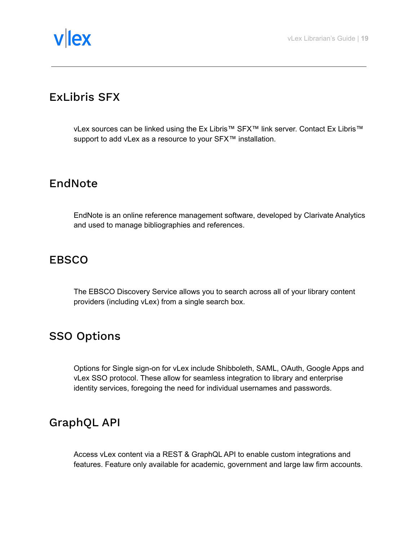# <span id="page-18-0"></span>ExLibris SFX

vLex sources can be linked using the Ex Libris™ SFX™ link server. Contact Ex Libris™ support to add vLex as a resource to your SFX<sup>™</sup> installation.

# <span id="page-18-1"></span>EndNote

EndNote is an online reference management software, developed by Clarivate Analytics and used to manage bibliographies and references.

## <span id="page-18-2"></span>EBSCO

The EBSCO Discovery Service allows you to search across all of your library content providers (including vLex) from a single search box.

# <span id="page-18-3"></span>SSO Options

Options for Single sign-on for vLex include Shibboleth, SAML, OAuth, Google Apps and vLex SSO protocol. These allow for seamless integration to library and enterprise identity services, foregoing the need for individual usernames and passwords.

# <span id="page-18-4"></span>GraphQL API

Access vLex content via a REST & GraphQL API to enable custom integrations and features. Feature only available for academic, government and large law firm accounts.